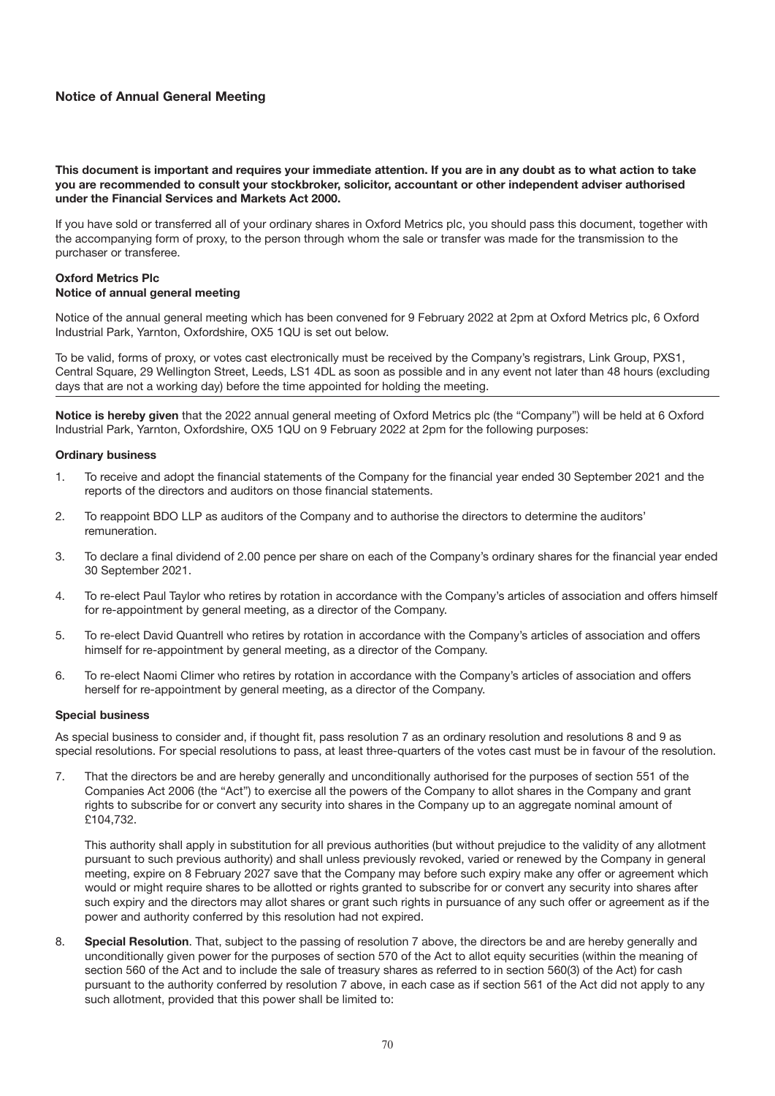# **Notice of Annual General Meeting**

**This document is important and requires your immediate attention. If you are in any doubt as to what action to take you are recommended to consult your stockbroker, solicitor, accountant or other independent adviser authorised under the Financial Services and Markets Act 2000.**

If you have sold or transferred all of your ordinary shares in Oxford Metrics plc, you should pass this document, together with the accompanying form of proxy, to the person through whom the sale or transfer was made for the transmission to the purchaser or transferee.

### **Oxford Metrics Plc Notice of annual general meeting**

Notice of the annual general meeting which has been convened for 9 February 2022 at 2pm at Oxford Metrics plc, 6 Oxford Industrial Park, Yarnton, Oxfordshire, OX5 1QU is set out below.

To be valid, forms of proxy, or votes cast electronically must be received by the Company's registrars, Link Group, PXS1, Central Square, 29 Wellington Street, Leeds, LS1 4DL as soon as possible and in any event not later than 48 hours (excluding days that are not a working day) before the time appointed for holding the meeting.

**Notice is hereby given** that the 2022 annual general meeting of Oxford Metrics plc (the "Company") will be held at 6 Oxford Industrial Park, Yarnton, Oxfordshire, OX5 1QU on 9 February 2022 at 2pm for the following purposes:

### **Ordinary business**

- 1. To receive and adopt the financial statements of the Company for the financial year ended 30 September 2021 and the reports of the directors and auditors on those financial statements.
- 2. To reappoint BDO LLP as auditors of the Company and to authorise the directors to determine the auditors' remuneration.
- 3. To declare a final dividend of 2.00 pence per share on each of the Company's ordinary shares for the financial year ended 30 September 2021.
- 4. To re-elect Paul Taylor who retires by rotation in accordance with the Company's articles of association and offers himself for re-appointment by general meeting, as a director of the Company.
- 5. To re-elect David Quantrell who retires by rotation in accordance with the Company's articles of association and offers himself for re-appointment by general meeting, as a director of the Company.
- 6. To re-elect Naomi Climer who retires by rotation in accordance with the Company's articles of association and offers herself for re-appointment by general meeting, as a director of the Company.

### **Special business**

As special business to consider and, if thought fit, pass resolution 7 as an ordinary resolution and resolutions 8 and 9 as special resolutions. For special resolutions to pass, at least three-quarters of the votes cast must be in favour of the resolution.

7. That the directors be and are hereby generally and unconditionally authorised for the purposes of section 551 of the Companies Act 2006 (the "Act") to exercise all the powers of the Company to allot shares in the Company and grant rights to subscribe for or convert any security into shares in the Company up to an aggregate nominal amount of £104,732.

This authority shall apply in substitution for all previous authorities (but without prejudice to the validity of any allotment pursuant to such previous authority) and shall unless previously revoked, varied or renewed by the Company in general meeting, expire on 8 February 2027 save that the Company may before such expiry make any offer or agreement which would or might require shares to be allotted or rights granted to subscribe for or convert any security into shares after such expiry and the directors may allot shares or grant such rights in pursuance of any such offer or agreement as if the power and authority conferred by this resolution had not expired.

8. **Special Resolution**. That, subject to the passing of resolution 7 above, the directors be and are hereby generally and unconditionally given power for the purposes of section 570 of the Act to allot equity securities (within the meaning of section 560 of the Act and to include the sale of treasury shares as referred to in section 560(3) of the Act) for cash pursuant to the authority conferred by resolution 7 above, in each case as if section 561 of the Act did not apply to any such allotment, provided that this power shall be limited to: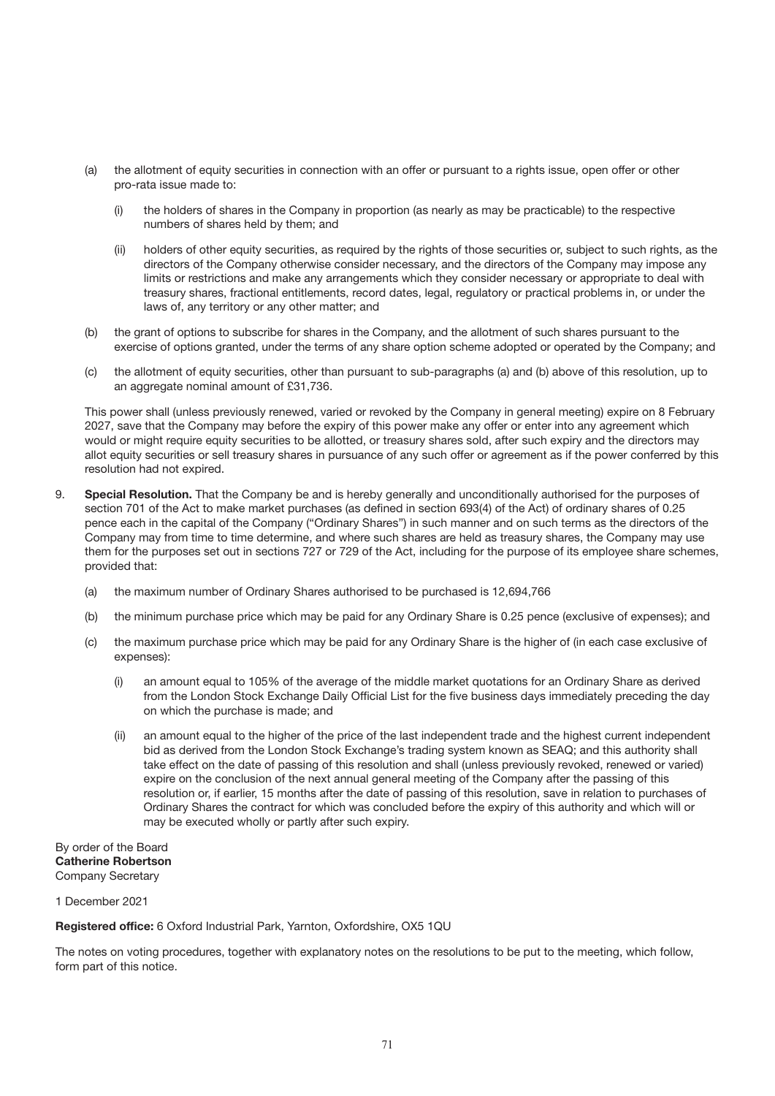- (a) the allotment of equity securities in connection with an offer or pursuant to a rights issue, open offer or other pro-rata issue made to:
	- (i) the holders of shares in the Company in proportion (as nearly as may be practicable) to the respective numbers of shares held by them; and
	- (ii) holders of other equity securities, as required by the rights of those securities or, subject to such rights, as the directors of the Company otherwise consider necessary, and the directors of the Company may impose any limits or restrictions and make any arrangements which they consider necessary or appropriate to deal with treasury shares, fractional entitlements, record dates, legal, regulatory or practical problems in, or under the laws of, any territory or any other matter; and
- (b) the grant of options to subscribe for shares in the Company, and the allotment of such shares pursuant to the exercise of options granted, under the terms of any share option scheme adopted or operated by the Company; and
- (c) the allotment of equity securities, other than pursuant to sub-paragraphs (a) and (b) above of this resolution, up to an aggregate nominal amount of £31,736.

This power shall (unless previously renewed, varied or revoked by the Company in general meeting) expire on 8 February 2027, save that the Company may before the expiry of this power make any offer or enter into any agreement which would or might require equity securities to be allotted, or treasury shares sold, after such expiry and the directors may allot equity securities or sell treasury shares in pursuance of any such offer or agreement as if the power conferred by this resolution had not expired.

- 9. **Special Resolution.** That the Company be and is hereby generally and unconditionally authorised for the purposes of section 701 of the Act to make market purchases (as defined in section 693(4) of the Act) of ordinary shares of 0.25 pence each in the capital of the Company ("Ordinary Shares") in such manner and on such terms as the directors of the Company may from time to time determine, and where such shares are held as treasury shares, the Company may use them for the purposes set out in sections 727 or 729 of the Act, including for the purpose of its employee share schemes, provided that:
	- (a) the maximum number of Ordinary Shares authorised to be purchased is 12,694,766
	- (b) the minimum purchase price which may be paid for any Ordinary Share is 0.25 pence (exclusive of expenses); and
	- (c) the maximum purchase price which may be paid for any Ordinary Share is the higher of (in each case exclusive of expenses):
		- (i) an amount equal to 105% of the average of the middle market quotations for an Ordinary Share as derived from the London Stock Exchange Daily Official List for the five business days immediately preceding the day on which the purchase is made; and
		- (ii) an amount equal to the higher of the price of the last independent trade and the highest current independent bid as derived from the London Stock Exchange's trading system known as SEAQ; and this authority shall take effect on the date of passing of this resolution and shall (unless previously revoked, renewed or varied) expire on the conclusion of the next annual general meeting of the Company after the passing of this resolution or, if earlier, 15 months after the date of passing of this resolution, save in relation to purchases of Ordinary Shares the contract for which was concluded before the expiry of this authority and which will or may be executed wholly or partly after such expiry.

By order of the Board **Catherine Robertson** Company Secretary

### 1 December 2021

**Registered office:** 6 Oxford Industrial Park, Yarnton, Oxfordshire, OX5 1QU

The notes on voting procedures, together with explanatory notes on the resolutions to be put to the meeting, which follow, form part of this notice.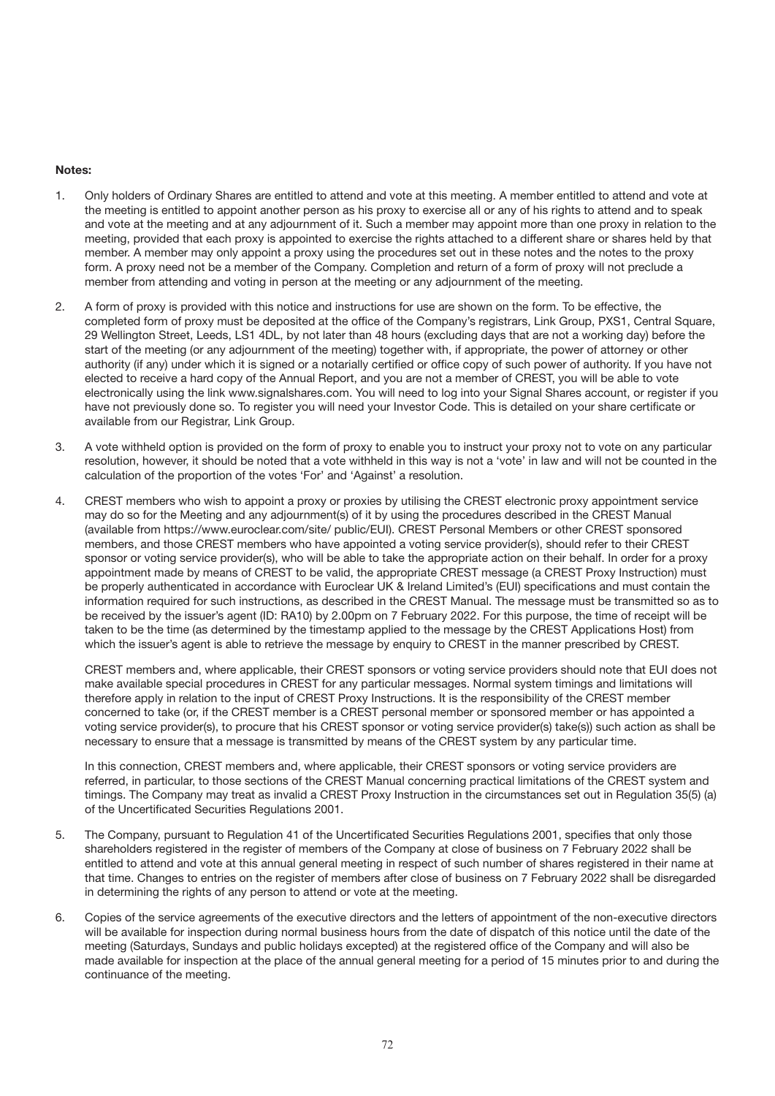### **Notes:**

- 1. Only holders of Ordinary Shares are entitled to attend and vote at this meeting. A member entitled to attend and vote at the meeting is entitled to appoint another person as his proxy to exercise all or any of his rights to attend and to speak and vote at the meeting and at any adjournment of it. Such a member may appoint more than one proxy in relation to the meeting, provided that each proxy is appointed to exercise the rights attached to a different share or shares held by that member. A member may only appoint a proxy using the procedures set out in these notes and the notes to the proxy form. A proxy need not be a member of the Company. Completion and return of a form of proxy will not preclude a member from attending and voting in person at the meeting or any adjournment of the meeting.
- 2. A form of proxy is provided with this notice and instructions for use are shown on the form. To be effective, the completed form of proxy must be deposited at the office of the Company's registrars, Link Group, PXS1, Central Square, 29 Wellington Street, Leeds, LS1 4DL, by not later than 48 hours (excluding days that are not a working day) before the start of the meeting (or any adjournment of the meeting) together with, if appropriate, the power of attorney or other authority (if any) under which it is signed or a notarially certified or office copy of such power of authority. If you have not elected to receive a hard copy of the Annual Report, and you are not a member of CREST, you will be able to vote electronically using the link www.signalshares.com. You will need to log into your Signal Shares account, or register if you have not previously done so. To register you will need your Investor Code. This is detailed on your share certificate or available from our Registrar, Link Group.
- 3. A vote withheld option is provided on the form of proxy to enable you to instruct your proxy not to vote on any particular resolution, however, it should be noted that a vote withheld in this way is not a 'vote' in law and will not be counted in the calculation of the proportion of the votes 'For' and 'Against' a resolution.
- 4. CREST members who wish to appoint a proxy or proxies by utilising the CREST electronic proxy appointment service may do so for the Meeting and any adjournment(s) of it by using the procedures described in the CREST Manual (available from https://www.euroclear.com/site/ public/EUI). CREST Personal Members or other CREST sponsored members, and those CREST members who have appointed a voting service provider(s), should refer to their CREST sponsor or voting service provider(s), who will be able to take the appropriate action on their behalf. In order for a proxy appointment made by means of CREST to be valid, the appropriate CREST message (a CREST Proxy Instruction) must be properly authenticated in accordance with Euroclear UK & Ireland Limited's (EUI) specifications and must contain the information required for such instructions, as described in the CREST Manual. The message must be transmitted so as to be received by the issuer's agent (ID: RA10) by 2.00pm on 7 February 2022. For this purpose, the time of receipt will be taken to be the time (as determined by the timestamp applied to the message by the CREST Applications Host) from which the issuer's agent is able to retrieve the message by enquiry to CREST in the manner prescribed by CREST.

CREST members and, where applicable, their CREST sponsors or voting service providers should note that EUI does not make available special procedures in CREST for any particular messages. Normal system timings and limitations will therefore apply in relation to the input of CREST Proxy Instructions. It is the responsibility of the CREST member concerned to take (or, if the CREST member is a CREST personal member or sponsored member or has appointed a voting service provider(s), to procure that his CREST sponsor or voting service provider(s) take(s)) such action as shall be necessary to ensure that a message is transmitted by means of the CREST system by any particular time.

In this connection, CREST members and, where applicable, their CREST sponsors or voting service providers are referred, in particular, to those sections of the CREST Manual concerning practical limitations of the CREST system and timings. The Company may treat as invalid a CREST Proxy Instruction in the circumstances set out in Regulation 35(5) (a) of the Uncertificated Securities Regulations 2001.

- 5. The Company, pursuant to Regulation 41 of the Uncertificated Securities Regulations 2001, specifies that only those shareholders registered in the register of members of the Company at close of business on 7 February 2022 shall be entitled to attend and vote at this annual general meeting in respect of such number of shares registered in their name at that time. Changes to entries on the register of members after close of business on 7 February 2022 shall be disregarded in determining the rights of any person to attend or vote at the meeting.
- 6. Copies of the service agreements of the executive directors and the letters of appointment of the non-executive directors will be available for inspection during normal business hours from the date of dispatch of this notice until the date of the meeting (Saturdays, Sundays and public holidays excepted) at the registered office of the Company and will also be made available for inspection at the place of the annual general meeting for a period of 15 minutes prior to and during the continuance of the meeting.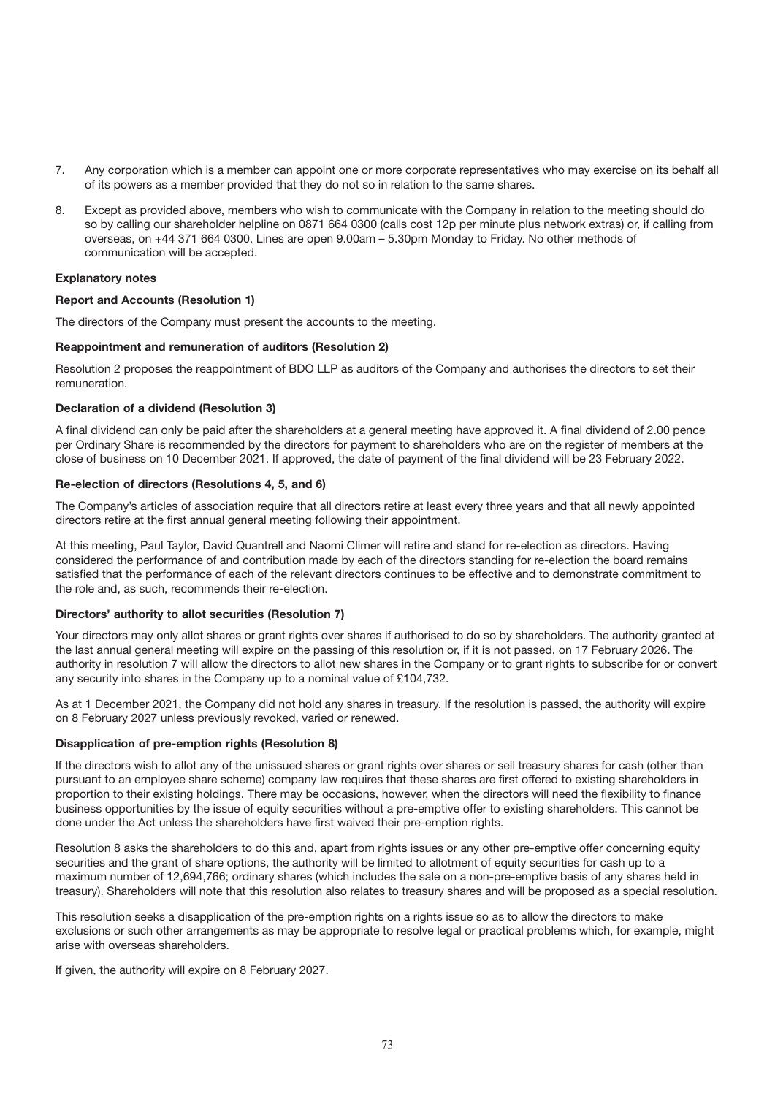- 7. Any corporation which is a member can appoint one or more corporate representatives who may exercise on its behalf all of its powers as a member provided that they do not so in relation to the same shares.
- 8. Except as provided above, members who wish to communicate with the Company in relation to the meeting should do so by calling our shareholder helpline on 0871 664 0300 (calls cost 12p per minute plus network extras) or, if calling from overseas, on +44 371 664 0300. Lines are open 9.00am – 5.30pm Monday to Friday. No other methods of communication will be accepted.

## **Explanatory notes**

### **Report and Accounts (Resolution 1)**

The directors of the Company must present the accounts to the meeting.

### **Reappointment and remuneration of auditors (Resolution 2)**

Resolution 2 proposes the reappointment of BDO LLP as auditors of the Company and authorises the directors to set their remuneration.

### **Declaration of a dividend (Resolution 3)**

A final dividend can only be paid after the shareholders at a general meeting have approved it. A final dividend of 2.00 pence per Ordinary Share is recommended by the directors for payment to shareholders who are on the register of members at the close of business on 10 December 2021. If approved, the date of payment of the final dividend will be 23 February 2022.

### **Re-election of directors (Resolutions 4, 5, and 6)**

The Company's articles of association require that all directors retire at least every three years and that all newly appointed directors retire at the first annual general meeting following their appointment.

At this meeting, Paul Taylor, David Quantrell and Naomi Climer will retire and stand for re-election as directors. Having considered the performance of and contribution made by each of the directors standing for re-election the board remains satisfied that the performance of each of the relevant directors continues to be effective and to demonstrate commitment to the role and, as such, recommends their re-election.

### **Directors' authority to allot securities (Resolution 7)**

Your directors may only allot shares or grant rights over shares if authorised to do so by shareholders. The authority granted at the last annual general meeting will expire on the passing of this resolution or, if it is not passed, on 17 February 2026. The authority in resolution 7 will allow the directors to allot new shares in the Company or to grant rights to subscribe for or convert any security into shares in the Company up to a nominal value of £104,732.

As at 1 December 2021, the Company did not hold any shares in treasury. If the resolution is passed, the authority will expire on 8 February 2027 unless previously revoked, varied or renewed.

### **Disapplication of pre-emption rights (Resolution 8)**

If the directors wish to allot any of the unissued shares or grant rights over shares or sell treasury shares for cash (other than pursuant to an employee share scheme) company law requires that these shares are first offered to existing shareholders in proportion to their existing holdings. There may be occasions, however, when the directors will need the flexibility to finance business opportunities by the issue of equity securities without a pre-emptive offer to existing shareholders. This cannot be done under the Act unless the shareholders have first waived their pre-emption rights.

Resolution 8 asks the shareholders to do this and, apart from rights issues or any other pre-emptive offer concerning equity securities and the grant of share options, the authority will be limited to allotment of equity securities for cash up to a maximum number of 12,694,766; ordinary shares (which includes the sale on a non-pre-emptive basis of any shares held in treasury). Shareholders will note that this resolution also relates to treasury shares and will be proposed as a special resolution.

This resolution seeks a disapplication of the pre-emption rights on a rights issue so as to allow the directors to make exclusions or such other arrangements as may be appropriate to resolve legal or practical problems which, for example, might arise with overseas shareholders.

If given, the authority will expire on 8 February 2027.